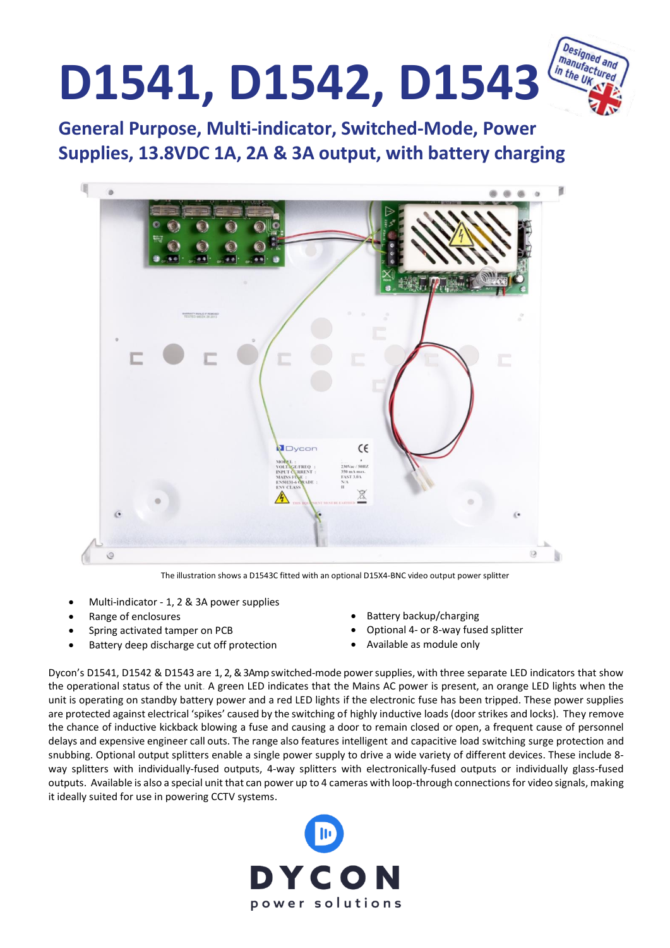

**General Purpose, Multi-indicator, Switched-Mode, Power Supplies, 13.8VDC 1A, 2A & 3A output, with battery charging General Purpose, Multi-<br>Supplies, 13.8VDC 1A, 2** 



The illustration shows a D1543C fitted with an optional D15X4-BNC video output power splitter

- Multi-indicator 1, 2 & 3A power supplies
- Range of enclosures
- Spring activated tamper on PCB
- Battery deep discharge cut off protection
- Battery backup/charging
- Optional 4- or 8-way fused splitter
- Available as module only

Dycon's D1541, D1542 & D1543 are 1, 2, & 3Amp switched-mode powersupplies, with three separate LED indicators that show the operational status of the unit. A green LED indicates that the Mains AC power is present, an orange LED lights when the unit is operating on standby battery power and a red LED lights if the electronic fuse has been tripped. These power supplies are protected against electrical 'spikes' caused by the switching of highly inductive loads (door strikes and locks). They remove the chance of inductive kickback blowing a fuse and causing a door to remain closed or open, a frequent cause of personnel delays and expensive engineer call outs. The range also features intelligent and capacitive load switching surge protection and snubbing. Optional output splitters enable a single power supply to drive a wide variety of different devices. These include 8 way splitters with individually-fused outputs, 4-way splitters with electronically-fused outputs or individually glass-fused outputs. Available is also a special unit that can power up to 4 cameras with loop-through connectionsfor video signals, making it ideally suited for use in powering CCTV systems.